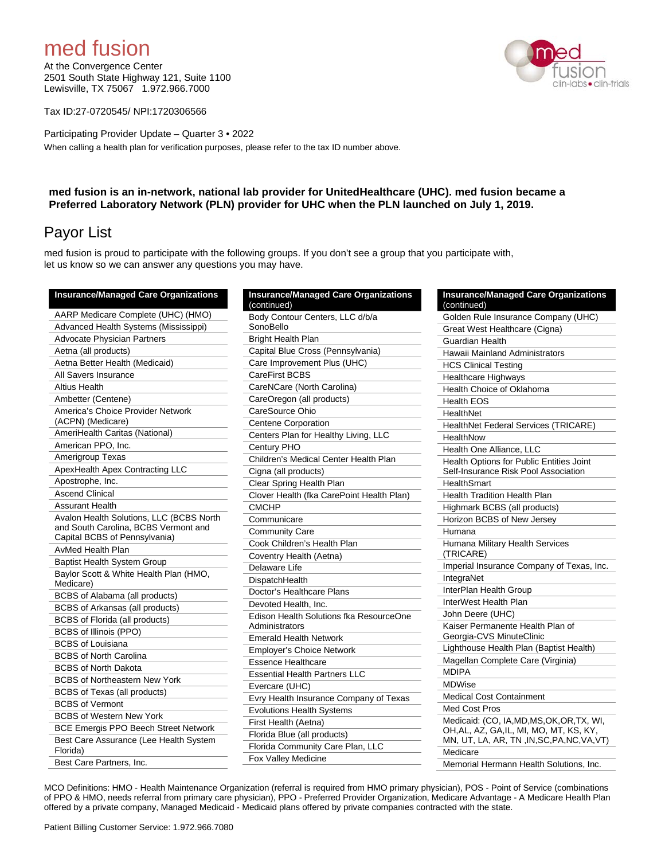# med fusion

At the Convergence Center 2501 South State Highway 121, Suite 1100 Lewisville, TX 75067 1.972.966.7000

Tax ID:27-0720545/ NPI:1720306566

Participating Provider Update – Quarter 3 • 2022 When calling a health plan for verification purposes, please refer to the tax ID number above.

### **med fusion is an in-network, national lab provider for UnitedHealthcare (UHC). med fusion became a Preferred Laboratory Network (PLN) provider for UHC when the PLN launched on July 1, 2019.**

## Payor List

med fusion is proud to participate with the following groups. If you don't see a group that you participate with, let us know so we can answer any questions you may have.

| <b>Insurance/Managed Care Organizations</b>         | <b>Insurance/Managed Care Organizations</b><br>(continued) |  |
|-----------------------------------------------------|------------------------------------------------------------|--|
| AARP Medicare Complete (UHC) (HMO)                  | Body Contour Centers, LLC d/b/a                            |  |
| Advanced Health Systems (Mississippi)               | SonoBello                                                  |  |
| <b>Advocate Physician Partners</b>                  | <b>Bright Health Plan</b>                                  |  |
| Aetna (all products)                                | Capital Blue Cross (Pennsylvania)                          |  |
| Aetna Better Health (Medicaid)                      | Care Improvement Plus (UHC)                                |  |
| All Savers Insurance                                | CareFirst BCBS                                             |  |
| <b>Altius Health</b>                                | CareNCare (North Carolina)                                 |  |
| Ambetter (Centene)                                  | CareOregon (all products)                                  |  |
| America's Choice Provider Network                   | CareSource Ohio                                            |  |
| (ACPN) (Medicare)                                   | <b>Centene Corporation</b>                                 |  |
| AmeriHealth Caritas (National)                      | Centers Plan for Healthy Living, LLC                       |  |
| American PPO, Inc.                                  | Century PHO                                                |  |
| Amerigroup Texas                                    | Children's Medical Center Health Plan                      |  |
| ApexHealth Apex Contracting LLC                     | Cigna (all products)                                       |  |
| Apostrophe, Inc.                                    | Clear Spring Health Plan                                   |  |
| <b>Ascend Clinical</b>                              | Clover Health (fka CarePoint Health Plan)                  |  |
| <b>Assurant Health</b>                              | <b>CMCHP</b>                                               |  |
| Avalon Health Solutions, LLC (BCBS North            | Communicare                                                |  |
| and South Carolina, BCBS Vermont and                | <b>Community Care</b>                                      |  |
| Capital BCBS of Pennsylvania)                       | Cook Children's Health Plan                                |  |
| <b>AvMed Health Plan</b>                            | Coventry Health (Aetna)                                    |  |
| <b>Baptist Health System Group</b><br>Delaware Life |                                                            |  |
| Baylor Scott & White Health Plan (HMO,<br>Medicare) | DispatchHealth                                             |  |
| BCBS of Alabama (all products)                      | Doctor's Healthcare Plans                                  |  |
| BCBS of Arkansas (all products)                     | Devoted Health, Inc.                                       |  |
| BCBS of Florida (all products)                      | Edison Health Solutions fka ResourceOne                    |  |
| <b>BCBS of Illinois (PPO)</b>                       | Administrators                                             |  |
| <b>BCBS</b> of Louisiana                            | <b>Emerald Health Network</b>                              |  |
| <b>BCBS of North Carolina</b>                       | <b>Employer's Choice Network</b>                           |  |
| <b>BCBS of North Dakota</b>                         | <b>Essence Healthcare</b>                                  |  |
| <b>BCBS of Northeastern New York</b>                | <b>Essential Health Partners LLC</b>                       |  |
| <b>BCBS</b> of Texas (all products)                 | Evercare (UHC)                                             |  |
| <b>BCBS of Vermont</b>                              | Evry Health Insurance Company of Texas                     |  |
| <b>BCBS of Western New York</b>                     | <b>Evolutions Health Systems</b>                           |  |
| <b>BCE Emergis PPO Beech Street Network</b>         | First Health (Aetna)                                       |  |
| Best Care Assurance (Lee Health System              | Florida Blue (all products)                                |  |
| Florida)                                            | Florida Community Care Plan, LLC                           |  |
| Best Care Partners. Inc.                            | Fox Valley Medicine                                        |  |

| (continued)                                               |
|-----------------------------------------------------------|
| Body Contour Centers, LLC d/b/a<br>SonoBello              |
| <b>Bright Health Plan</b>                                 |
| Capital Blue Cross (Pennsylvania)                         |
| Care Improvement Plus (UHC)                               |
| CareFirst BCBS                                            |
| CareNCare (North Carolina)                                |
| CareOregon (all products)                                 |
| CareSource Ohio                                           |
| <b>Centene Corporation</b>                                |
| Centers Plan for Healthy Living, LLC                      |
| Century PHO                                               |
| Children's Medical Center Health Plan                     |
| Cigna (all products)                                      |
| Clear Spring Health Plan                                  |
| Clover Health (fka CarePoint Health Plan)                 |
| <b>CMCHP</b>                                              |
| Communicare                                               |
| <b>Community Care</b>                                     |
| Cook Children's Health Plan                               |
| Coventry Health (Aetna)                                   |
| Delaware Life                                             |
| DispatchHealth                                            |
| Doctor's Healthcare Plans                                 |
| Devoted Health, Inc.                                      |
| Edison Health Solutions fka ResourceOne<br>Administrators |
| <b>Emerald Health Network</b>                             |
| <b>Employer's Choice Network</b>                          |
| <b>Essence Healthcare</b>                                 |
| <b>Essential Health Partners LLC</b>                      |
| Evercare (UHC)                                            |
| Evry Health Insurance Company of Texas                    |
| <b>Evolutions Health Systems</b>                          |
| First Health (Aetna)                                      |
| Florida Blue (all products)                               |
| Florida Community Care Plan, LLC                          |
| Fox Valley Medicine                                       |

| (continued)          | <b>Insurance/Managed Care Organizations</b>                                                                                     |
|----------------------|---------------------------------------------------------------------------------------------------------------------------------|
|                      | Golden Rule Insurance Company (UHC)                                                                                             |
|                      | Great West Healthcare (Cigna)                                                                                                   |
| Guardian Health      |                                                                                                                                 |
|                      | Hawaii Mainland Administrators                                                                                                  |
|                      | <b>HCS Clinical Testing</b>                                                                                                     |
|                      | Healthcare Highways                                                                                                             |
|                      | Health Choice of Oklahoma                                                                                                       |
| <b>Health EOS</b>    |                                                                                                                                 |
| HealthNet            |                                                                                                                                 |
|                      | HealthNet Federal Services (TRICARE)                                                                                            |
| HealthNow            |                                                                                                                                 |
|                      | Health One Alliance, LLC                                                                                                        |
|                      | <b>Health Options for Public Entities Joint</b>                                                                                 |
|                      | Self-Insurance Risk Pool Association                                                                                            |
| <b>HealthSmart</b>   |                                                                                                                                 |
|                      | Health Tradition Health Plan                                                                                                    |
|                      | Highmark BCBS (all products)                                                                                                    |
|                      | Horizon BCBS of New Jersey                                                                                                      |
| Humana               |                                                                                                                                 |
| (TRICARE)            | Humana Military Health Services                                                                                                 |
|                      | Imperial Insurance Company of Texas, Inc.                                                                                       |
| IntegraNet           |                                                                                                                                 |
|                      | InterPlan Health Group                                                                                                          |
|                      | InterWest Health Plan                                                                                                           |
| John Deere (UHC)     |                                                                                                                                 |
|                      | Kaiser Permanente Health Plan of                                                                                                |
|                      | Georgia-CVS MinuteClinic                                                                                                        |
|                      | Lighthouse Health Plan (Baptist Health)                                                                                         |
|                      | Magellan Complete Care (Virginia)                                                                                               |
| <b>MDIPA</b>         |                                                                                                                                 |
| <b>MDWise</b>        |                                                                                                                                 |
|                      | <b>Medical Cost Containment</b>                                                                                                 |
| <b>Med Cost Pros</b> |                                                                                                                                 |
|                      | Medicaid: (CO, IA,MD,MS,OK,OR,TX, WI,<br>OH, AL, AZ, GA, IL, MI, MO, MT, KS, KY,<br>MN, UT, LA, AR, TN, IN, SC, PA, NC, VA, VT) |
| Medicare             |                                                                                                                                 |
|                      | Memorial Hermann Health Solutions, Inc.                                                                                         |

MCO Definitions: HMO - Health Maintenance Organization (referral is required from HMO primary physician), POS - Point of Service (combinations of PPO & HMO, needs referral from primary care physician), PPO - Preferred Provider Organization, Medicare Advantage - A Medicare Health Plan offered by a private company, Managed Medicaid - Medicaid plans offered by private companies contracted with the state.